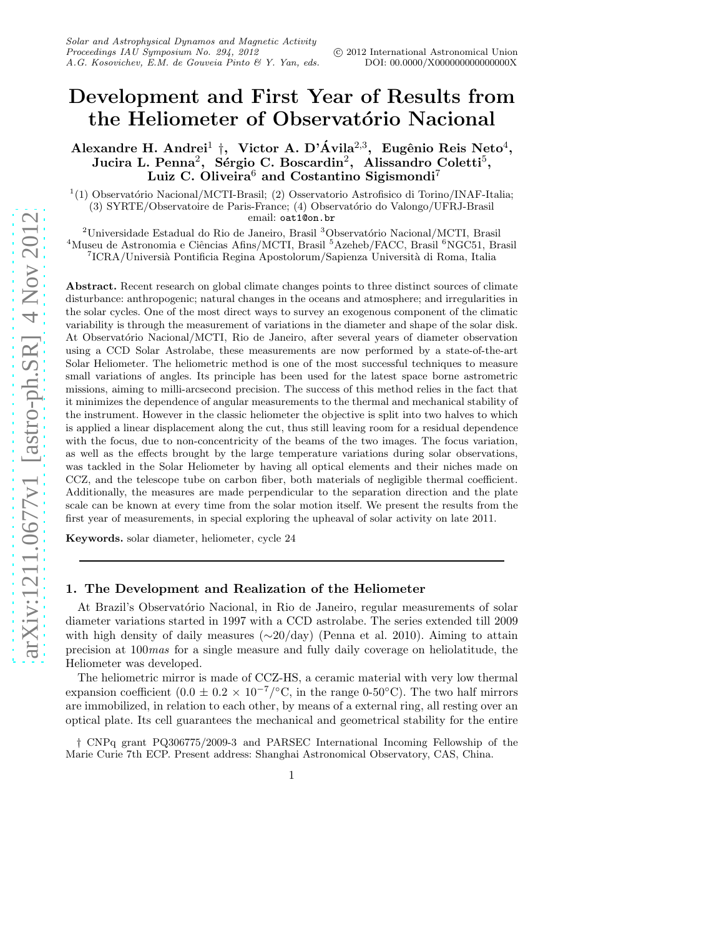# Development and First Year of Results from the Heliometer of Observatório Nacional

## Alexandre H. Andrei<sup>1</sup> †, Victor A. D'Ávila<sup>2,3</sup>, Eugênio Reis Neto<sup>4</sup>, Jucira L. Penna<sup>2</sup>, Sérgio C. Boscardin<sup>2</sup>, Alissandro Coletti<sup>5</sup>, Luiz C. Oliveira<sup>6</sup> and Costantino Sigismondi<sup>7</sup>

 $1(1)$  Observatório Nacional/MCTI-Brasil; (2) Osservatorio Astrofisico di Torino/INAF-Italia; (3) SYRTE/Observatoire de Paris-France; (4) Observatório do Valongo/UFRJ-Brasil email: oat1@on.br

 $2$ Universidade Estadual do Rio de Janeiro, Brasil  $3$ Observatório Nacional/MCTI, Brasil  $4$ Museu de Astronomia e Ciências Afins/MCTI, Brasil  $5$ Azeheb/FACC, Brasil  $6$ NGC51, Brasil  $^{7}$ ICRA/Universià Pontificia Regina Apostolorum/Sapienza Università di Roma, Italia

Abstract. Recent research on global climate changes points to three distinct sources of climate disturbance: anthropogenic; natural changes in the oceans and atmosphere; and irregularities in the solar cycles. One of the most direct ways to survey an exogenous component of the climatic variability is through the measurement of variations in the diameter and shape of the solar disk. At Observatório Nacional/MCTI, Rio de Janeiro, after several years of diameter observation using a CCD Solar Astrolabe, these measurements are now performed by a state-of-the-art Solar Heliometer. The heliometric method is one of the most successful techniques to measure small variations of angles. Its principle has been used for the latest space borne astrometric missions, aiming to milli-arcsecond precision. The success of this method relies in the fact that it minimizes the dependence of angular measurements to the thermal and mechanical stability of the instrument. However in the classic heliometer the objective is split into two halves to which is applied a linear displacement along the cut, thus still leaving room for a residual dependence with the focus, due to non-concentricity of the beams of the two images. The focus variation, as well as the effects brought by the large temperature variations during solar observations, was tackled in the Solar Heliometer by having all optical elements and their niches made on CCZ, and the telescope tube on carbon fiber, both materials of negligible thermal coefficient. Additionally, the measures are made perpendicular to the separation direction and the plate scale can be known at every time from the solar motion itself. We present the results from the first year of measurements, in special exploring the upheaval of solar activity on late 2011.

Keywords. solar diameter, heliometer, cycle 24

#### 1. The Development and Realization of the Heliometer

At Brazil's Observatório Nacional, in Rio de Janeiro, regular measurements of solar diameter variations started in 1997 with a CCD astrolabe. The series extended till 2009 with high density of daily measures (∼20/day) (Penna et al. 2010). Aiming to attain precision at 100mas for a single measure and fully daily coverage on heliolatitude, the Heliometer was developed.

The heliometric mirror is made of CCZ-HS, a ceramic material with very low thermal expansion coefficient  $(0.0 \pm 0.2 \times 10^{-7} / \text{°C})$ , in the range 0-50°C). The two half mirrors are immobilized, in relation to each other, by means of a external ring, all resting over an optical plate. Its cell guarantees the mechanical and geometrical stability for the entire

† CNPq grant PQ306775/2009-3 and PARSEC International Incoming Fellowship of the Marie Curie 7th ECP. Present address: Shanghai Astronomical Observatory, CAS, China.